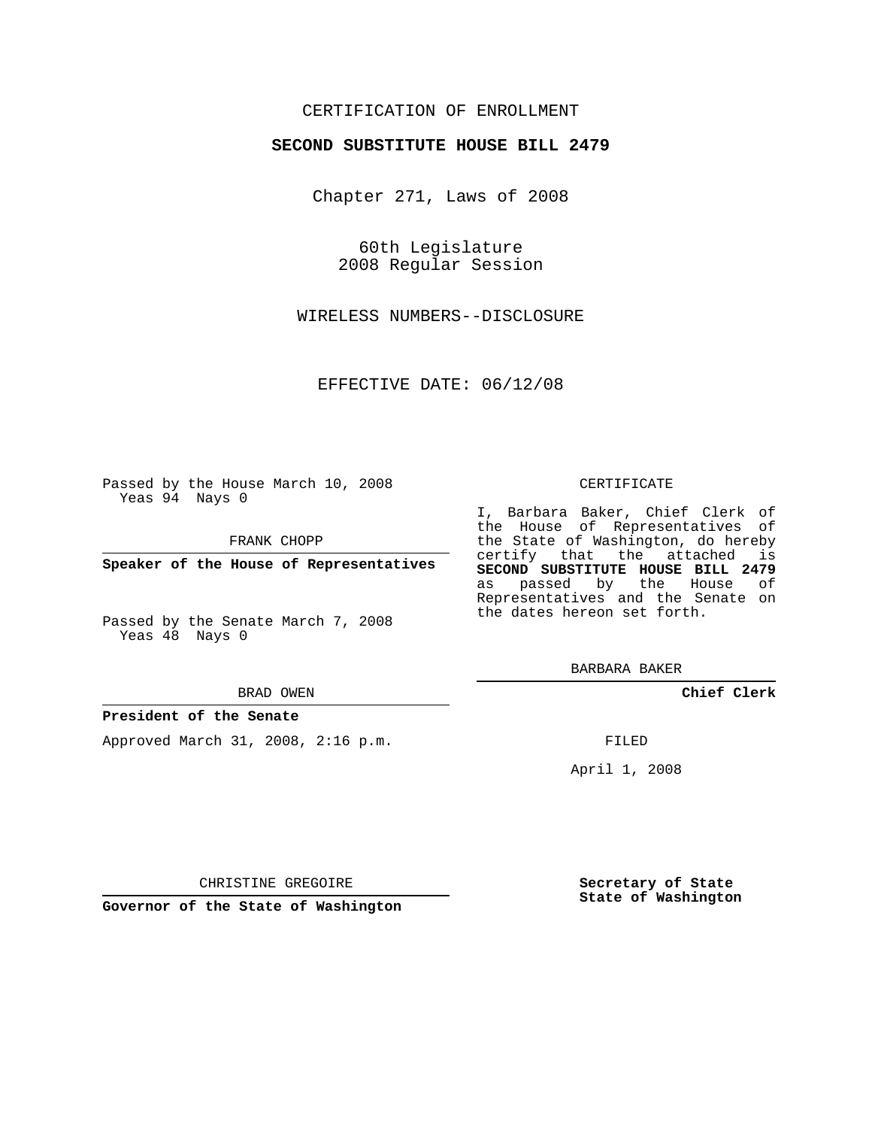# CERTIFICATION OF ENROLLMENT

## **SECOND SUBSTITUTE HOUSE BILL 2479**

Chapter 271, Laws of 2008

60th Legislature 2008 Regular Session

WIRELESS NUMBERS--DISCLOSURE

EFFECTIVE DATE: 06/12/08

Passed by the House March 10, 2008 Yeas 94 Nays 0

FRANK CHOPP

**Speaker of the House of Representatives**

Passed by the Senate March 7, 2008 Yeas 48 Nays 0

#### BRAD OWEN

### **President of the Senate**

Approved March 31, 2008, 2:16 p.m.

#### CERTIFICATE

I, Barbara Baker, Chief Clerk of the House of Representatives of the State of Washington, do hereby certify that the attached is **SECOND SUBSTITUTE HOUSE BILL 2479** as passed by the House of Representatives and the Senate on the dates hereon set forth.

BARBARA BAKER

**Chief Clerk**

FILED

April 1, 2008

**Governor of the State of Washington**

CHRISTINE GREGOIRE

**Secretary of State State of Washington**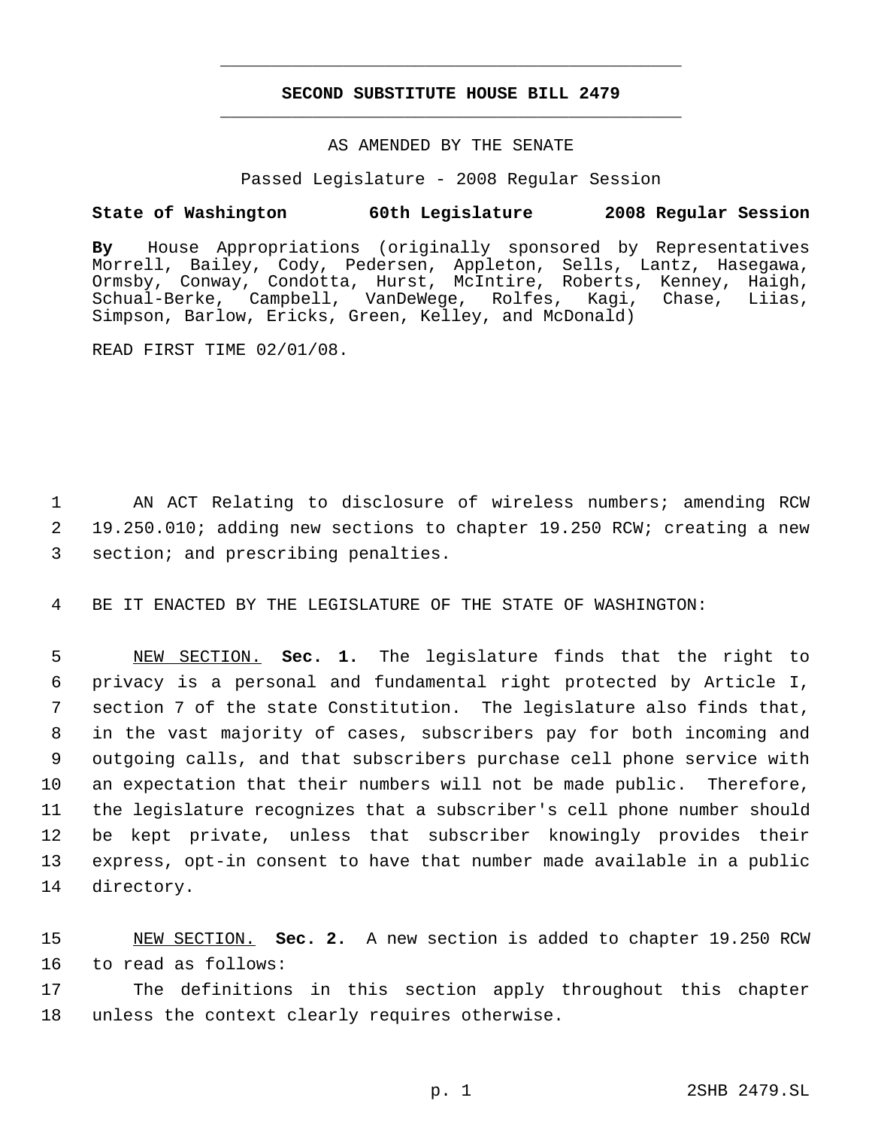# **SECOND SUBSTITUTE HOUSE BILL 2479** \_\_\_\_\_\_\_\_\_\_\_\_\_\_\_\_\_\_\_\_\_\_\_\_\_\_\_\_\_\_\_\_\_\_\_\_\_\_\_\_\_\_\_\_\_

\_\_\_\_\_\_\_\_\_\_\_\_\_\_\_\_\_\_\_\_\_\_\_\_\_\_\_\_\_\_\_\_\_\_\_\_\_\_\_\_\_\_\_\_\_

## AS AMENDED BY THE SENATE

Passed Legislature - 2008 Regular Session

## **State of Washington 60th Legislature 2008 Regular Session**

**By** House Appropriations (originally sponsored by Representatives Morrell, Bailey, Cody, Pedersen, Appleton, Sells, Lantz, Hasegawa, Ormsby, Conway, Condotta, Hurst, McIntire, Roberts, Kenney, Haigh, Schual-Berke, Campbell, VanDeWege, Rolfes, Kagi, Chase, Liias, Simpson, Barlow, Ericks, Green, Kelley, and McDonald)

READ FIRST TIME 02/01/08.

 1 AN ACT Relating to disclosure of wireless numbers; amending RCW 2 19.250.010; adding new sections to chapter 19.250 RCW; creating a new 3 section; and prescribing penalties.

4 BE IT ENACTED BY THE LEGISLATURE OF THE STATE OF WASHINGTON:

 NEW SECTION. **Sec. 1.** The legislature finds that the right to privacy is a personal and fundamental right protected by Article I, section 7 of the state Constitution. The legislature also finds that, in the vast majority of cases, subscribers pay for both incoming and outgoing calls, and that subscribers purchase cell phone service with an expectation that their numbers will not be made public. Therefore, the legislature recognizes that a subscriber's cell phone number should be kept private, unless that subscriber knowingly provides their express, opt-in consent to have that number made available in a public directory.

15 NEW SECTION. **Sec. 2.** A new section is added to chapter 19.250 RCW 16 to read as follows:

17 The definitions in this section apply throughout this chapter 18 unless the context clearly requires otherwise.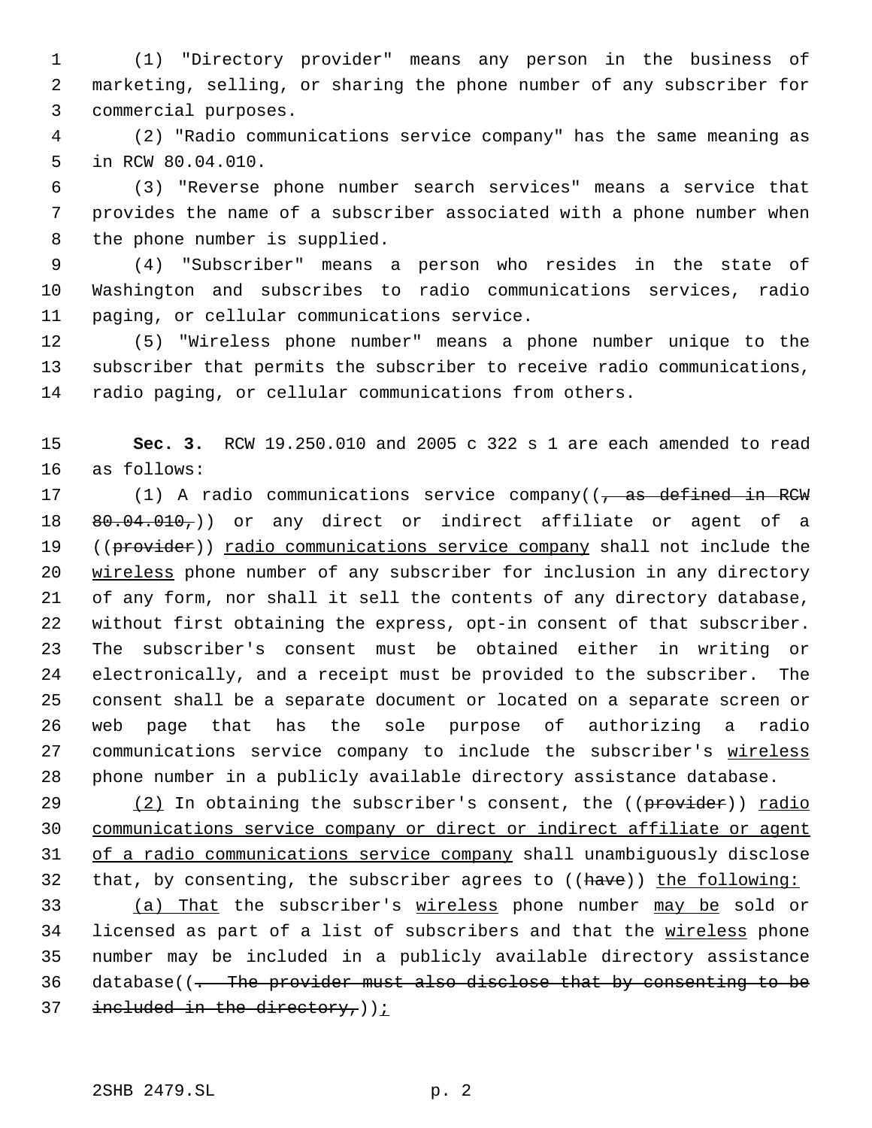(1) "Directory provider" means any person in the business of marketing, selling, or sharing the phone number of any subscriber for commercial purposes.

 (2) "Radio communications service company" has the same meaning as in RCW 80.04.010.

 (3) "Reverse phone number search services" means a service that provides the name of a subscriber associated with a phone number when the phone number is supplied.

 (4) "Subscriber" means a person who resides in the state of Washington and subscribes to radio communications services, radio paging, or cellular communications service.

 (5) "Wireless phone number" means a phone number unique to the subscriber that permits the subscriber to receive radio communications, radio paging, or cellular communications from others.

 **Sec. 3.** RCW 19.250.010 and 2005 c 322 s 1 are each amended to read as follows:

17 (1) A radio communications service company(( $\frac{1}{1}$  as defined in RCW  $80.04.010<sub>7</sub>$ ) or any direct or indirect affiliate or agent of a 19 ((provider)) radio communications service company shall not include the wireless phone number of any subscriber for inclusion in any directory of any form, nor shall it sell the contents of any directory database, without first obtaining the express, opt-in consent of that subscriber. The subscriber's consent must be obtained either in writing or electronically, and a receipt must be provided to the subscriber. The consent shall be a separate document or located on a separate screen or web page that has the sole purpose of authorizing a radio 27 communications service company to include the subscriber's wireless phone number in a publicly available directory assistance database.

 $(2)$  In obtaining the subscriber's consent, the  $((\text{provider}))$  radio communications service company or direct or indirect affiliate or agent of a radio communications service company shall unambiguously disclose 32 that, by consenting, the subscriber agrees to ((have)) the following:

 (a) That the subscriber's wireless phone number may be sold or 34 licensed as part of a list of subscribers and that the wireless phone number may be included in a publicly available directory assistance database((. The provider must also disclose that by consenting to be 37 included in the directory,  $i$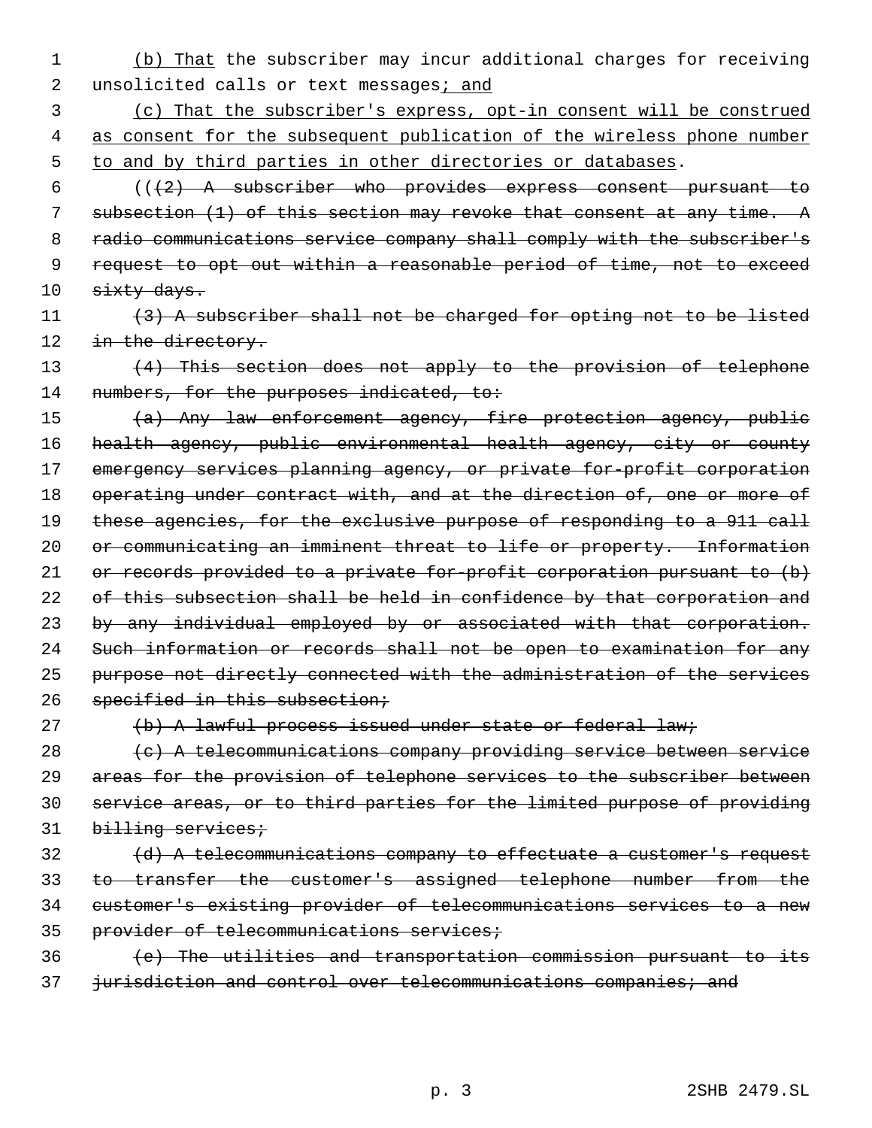- 1 (b) That the subscriber may incur additional charges for receiving 2 unsolicited calls or text messages; and
- 3 (c) That the subscriber's express, opt-in consent will be construed 4 as consent for the subsequent publication of the wireless phone number 5 to and by third parties in other directories or databases.
- $6$  (( $\{2\}$  A subscriber who provides express consent pursuant to 7 subsection (1) of this section may revoke that consent at any time. A 8 radio communications service company shall comply with the subscriber's 9 request to opt out within a reasonable period of time, not to exceed 10 sixty days.
- 11 (3) A subscriber shall not be charged for opting not to be listed 12 in the directory.
- 13 (4) This section does not apply to the provision of telephone 14 numbers, for the purposes indicated, to:
- 15 (a) Any law enforcement agency, fire protection agency, public 16 health agency, public environmental health agency, city or county 17 emergency services planning agency, or private for-profit corporation 18 operating under contract with, and at the direction of, one or more of 19 these agencies, for the exclusive purpose of responding to a 911 call 20 or communicating an imminent threat to life or property. Information 21 or records provided to a private for-profit corporation pursuant to (b) 22 of this subsection shall be held in confidence by that corporation and 23 by any individual employed by or associated with that corporation. 24 Such information or records shall not be open to examination for any 25 purpose not directly connected with the administration of the services 26 specified in this subsection;
- 

# 27 (b) A lawful process issued under state or federal law;

 $28$  (c) A telecommunications company providing service between service 29 areas for the provision of telephone services to the subscriber between 30 service areas, or to third parties for the limited purpose of providing 31 billing services;

- 32 (d) A telecommunications company to effectuate a customer's request 33 to transfer the customer's assigned telephone number from the 34 customer's existing provider of telecommunications services to a new 35 provider of telecommunications services;
- 36 (e) The utilities and transportation commission pursuant to its 37 jurisdiction and control over telecommunications companies; and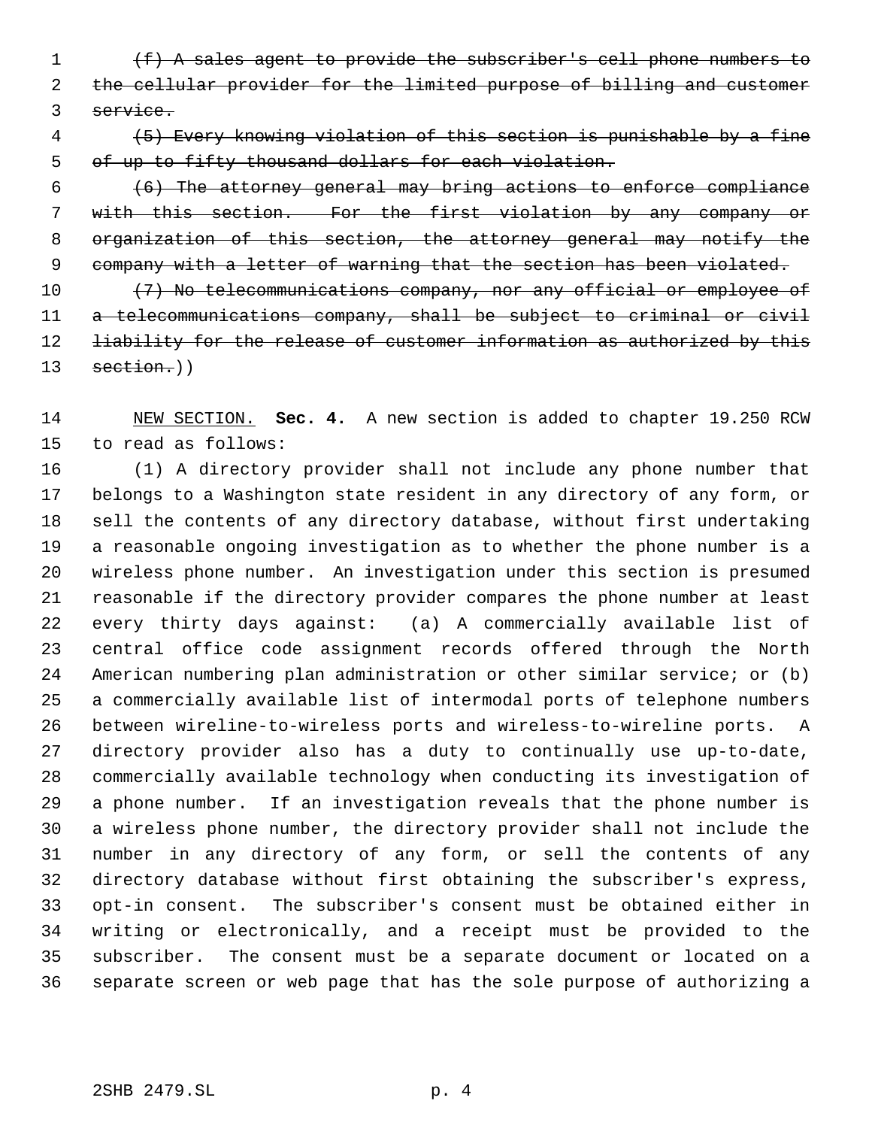(f) A sales agent to provide the subscriber's cell phone numbers to the cellular provider for the limited purpose of billing and customer service.

 (5) Every knowing violation of this section is punishable by a fine of up to fifty thousand dollars for each violation.

 (6) The attorney general may bring actions to enforce compliance with this section. For the first violation by any company or organization of this section, the attorney general may notify the 9 company with a letter of warning that the section has been violated.

10 (7) No telecommunications company, nor any official or employee of a telecommunications company, shall be subject to criminal or civil 12 <del>liability for the release of customer information as authorized by this</del> 13 section.))

 NEW SECTION. **Sec. 4.** A new section is added to chapter 19.250 RCW to read as follows:

 (1) A directory provider shall not include any phone number that belongs to a Washington state resident in any directory of any form, or sell the contents of any directory database, without first undertaking a reasonable ongoing investigation as to whether the phone number is a wireless phone number. An investigation under this section is presumed reasonable if the directory provider compares the phone number at least every thirty days against: (a) A commercially available list of central office code assignment records offered through the North American numbering plan administration or other similar service; or (b) a commercially available list of intermodal ports of telephone numbers between wireline-to-wireless ports and wireless-to-wireline ports. A directory provider also has a duty to continually use up-to-date, commercially available technology when conducting its investigation of a phone number. If an investigation reveals that the phone number is a wireless phone number, the directory provider shall not include the number in any directory of any form, or sell the contents of any directory database without first obtaining the subscriber's express, opt-in consent. The subscriber's consent must be obtained either in writing or electronically, and a receipt must be provided to the subscriber. The consent must be a separate document or located on a separate screen or web page that has the sole purpose of authorizing a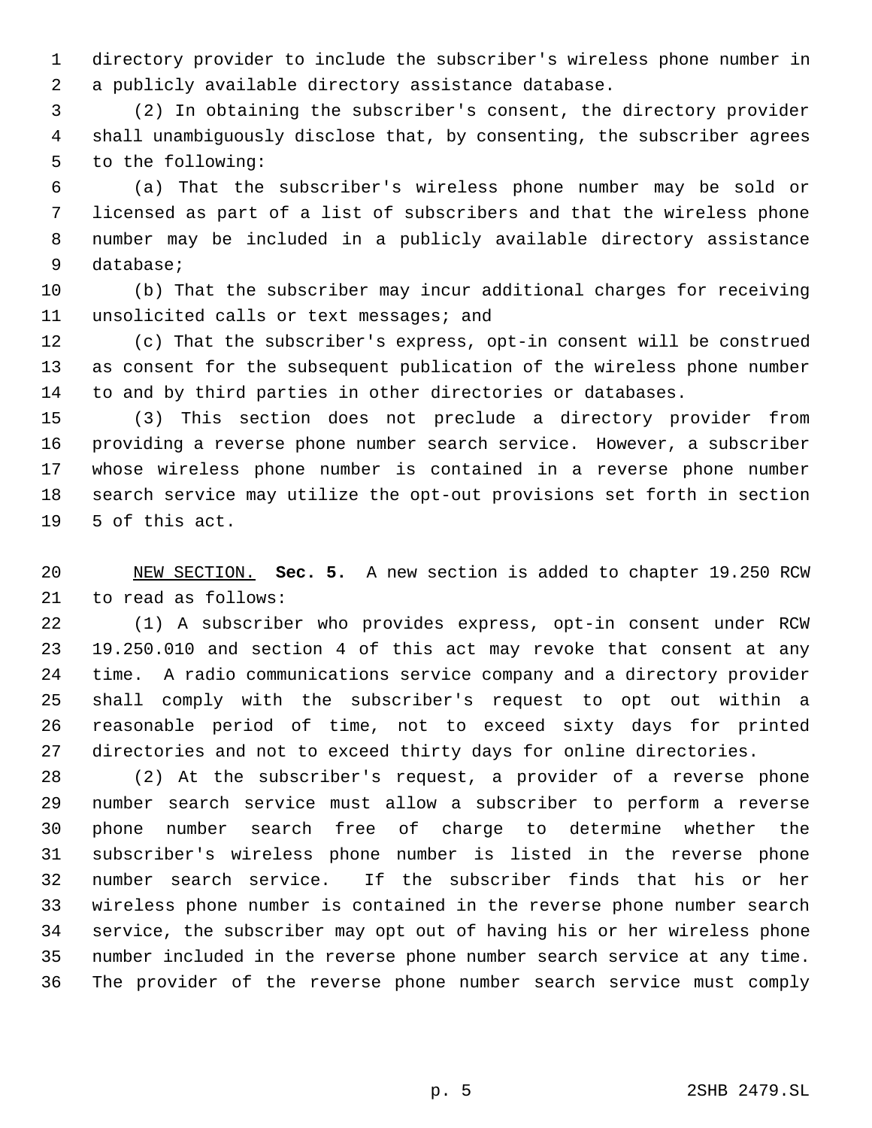directory provider to include the subscriber's wireless phone number in a publicly available directory assistance database.

 (2) In obtaining the subscriber's consent, the directory provider shall unambiguously disclose that, by consenting, the subscriber agrees to the following:

 (a) That the subscriber's wireless phone number may be sold or licensed as part of a list of subscribers and that the wireless phone number may be included in a publicly available directory assistance database;

 (b) That the subscriber may incur additional charges for receiving unsolicited calls or text messages; and

 (c) That the subscriber's express, opt-in consent will be construed as consent for the subsequent publication of the wireless phone number to and by third parties in other directories or databases.

 (3) This section does not preclude a directory provider from providing a reverse phone number search service. However, a subscriber whose wireless phone number is contained in a reverse phone number search service may utilize the opt-out provisions set forth in section 5 of this act.

 NEW SECTION. **Sec. 5.** A new section is added to chapter 19.250 RCW to read as follows:

 (1) A subscriber who provides express, opt-in consent under RCW 19.250.010 and section 4 of this act may revoke that consent at any time. A radio communications service company and a directory provider shall comply with the subscriber's request to opt out within a reasonable period of time, not to exceed sixty days for printed directories and not to exceed thirty days for online directories.

 (2) At the subscriber's request, a provider of a reverse phone number search service must allow a subscriber to perform a reverse phone number search free of charge to determine whether the subscriber's wireless phone number is listed in the reverse phone number search service. If the subscriber finds that his or her wireless phone number is contained in the reverse phone number search service, the subscriber may opt out of having his or her wireless phone number included in the reverse phone number search service at any time. The provider of the reverse phone number search service must comply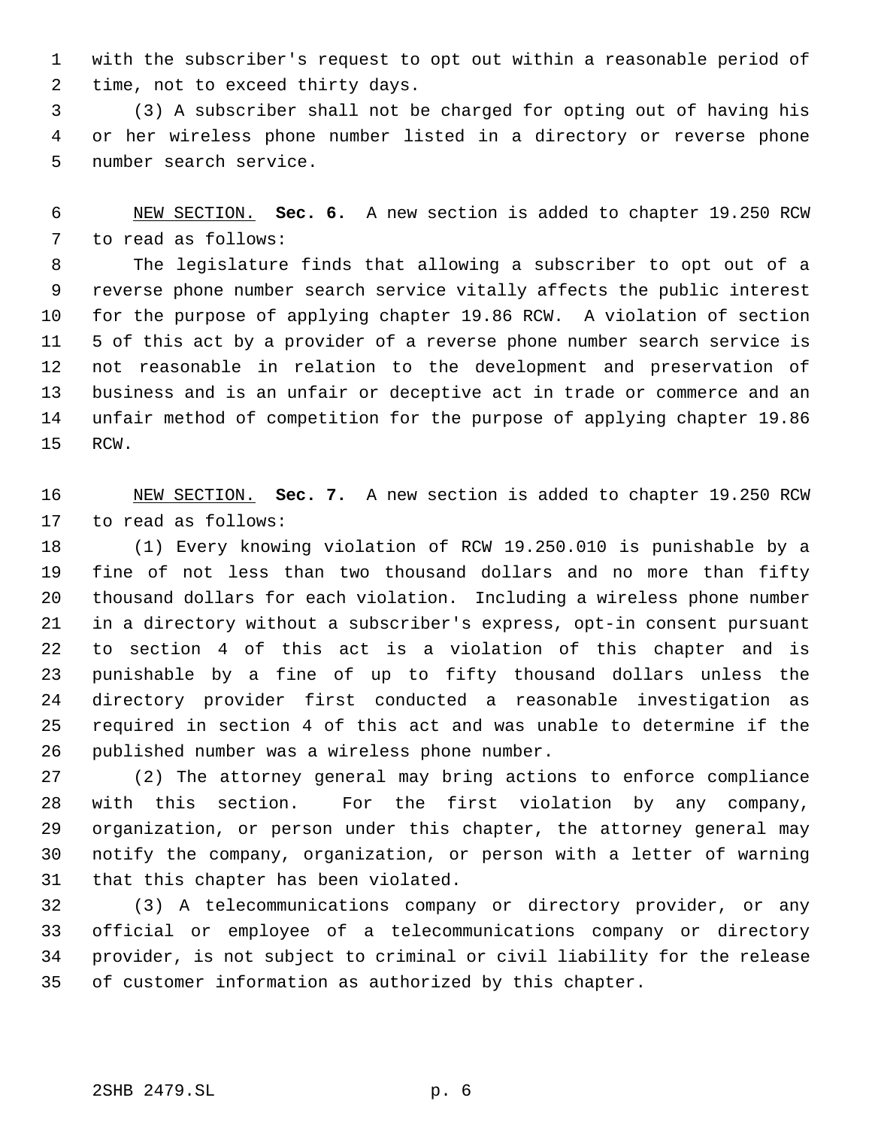with the subscriber's request to opt out within a reasonable period of time, not to exceed thirty days.

 (3) A subscriber shall not be charged for opting out of having his or her wireless phone number listed in a directory or reverse phone number search service.

 NEW SECTION. **Sec. 6.** A new section is added to chapter 19.250 RCW to read as follows:

 The legislature finds that allowing a subscriber to opt out of a reverse phone number search service vitally affects the public interest for the purpose of applying chapter 19.86 RCW. A violation of section 5 of this act by a provider of a reverse phone number search service is not reasonable in relation to the development and preservation of business and is an unfair or deceptive act in trade or commerce and an unfair method of competition for the purpose of applying chapter 19.86 RCW.

 NEW SECTION. **Sec. 7.** A new section is added to chapter 19.250 RCW to read as follows:

 (1) Every knowing violation of RCW 19.250.010 is punishable by a fine of not less than two thousand dollars and no more than fifty thousand dollars for each violation. Including a wireless phone number in a directory without a subscriber's express, opt-in consent pursuant to section 4 of this act is a violation of this chapter and is punishable by a fine of up to fifty thousand dollars unless the directory provider first conducted a reasonable investigation as required in section 4 of this act and was unable to determine if the published number was a wireless phone number.

 (2) The attorney general may bring actions to enforce compliance with this section. For the first violation by any company, organization, or person under this chapter, the attorney general may notify the company, organization, or person with a letter of warning that this chapter has been violated.

 (3) A telecommunications company or directory provider, or any official or employee of a telecommunications company or directory provider, is not subject to criminal or civil liability for the release of customer information as authorized by this chapter.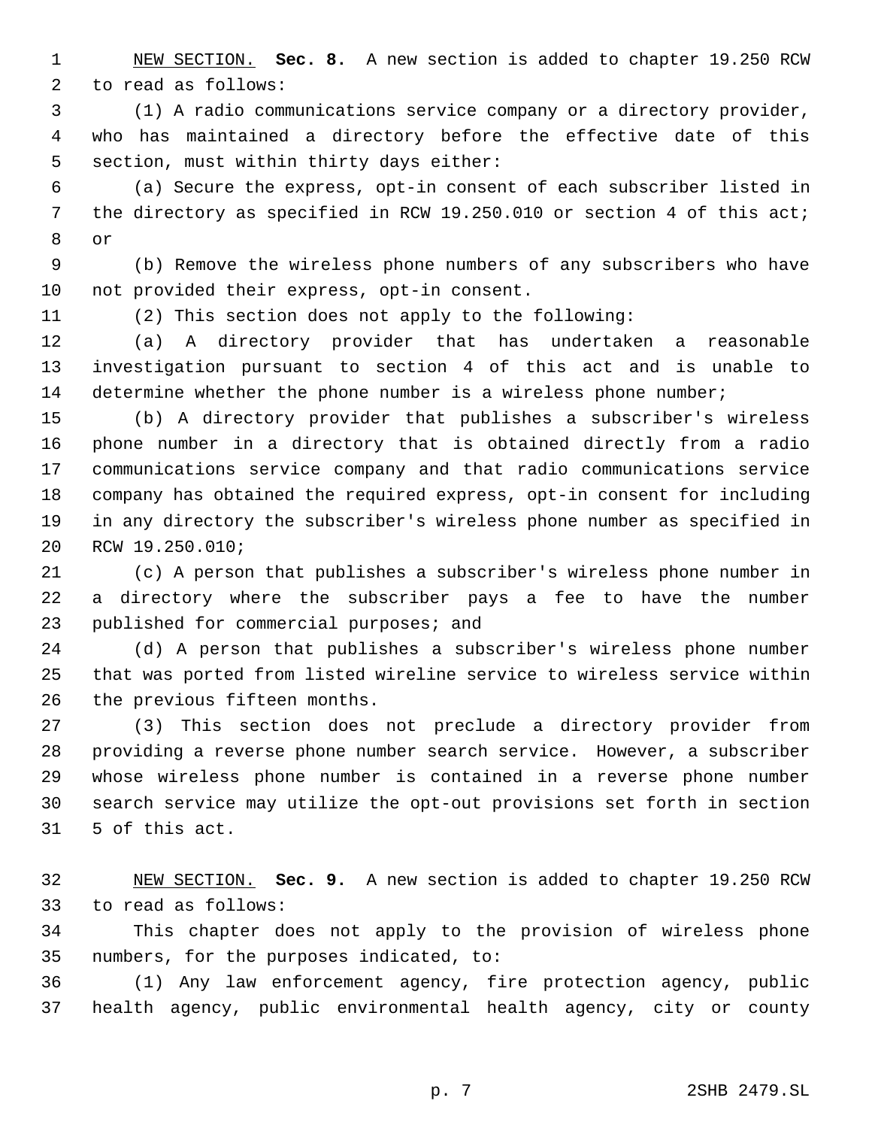NEW SECTION. **Sec. 8.** A new section is added to chapter 19.250 RCW to read as follows:

 (1) A radio communications service company or a directory provider, who has maintained a directory before the effective date of this section, must within thirty days either:

 (a) Secure the express, opt-in consent of each subscriber listed in 7 the directory as specified in RCW 19.250.010 or section 4 of this act; or

 (b) Remove the wireless phone numbers of any subscribers who have not provided their express, opt-in consent.

(2) This section does not apply to the following:

 (a) A directory provider that has undertaken a reasonable investigation pursuant to section 4 of this act and is unable to 14 determine whether the phone number is a wireless phone number;

 (b) A directory provider that publishes a subscriber's wireless phone number in a directory that is obtained directly from a radio communications service company and that radio communications service company has obtained the required express, opt-in consent for including in any directory the subscriber's wireless phone number as specified in RCW 19.250.010;

 (c) A person that publishes a subscriber's wireless phone number in a directory where the subscriber pays a fee to have the number 23 published for commercial purposes; and

 (d) A person that publishes a subscriber's wireless phone number that was ported from listed wireline service to wireless service within the previous fifteen months.

 (3) This section does not preclude a directory provider from providing a reverse phone number search service. However, a subscriber whose wireless phone number is contained in a reverse phone number search service may utilize the opt-out provisions set forth in section 5 of this act.

 NEW SECTION. **Sec. 9.** A new section is added to chapter 19.250 RCW to read as follows:

 This chapter does not apply to the provision of wireless phone numbers, for the purposes indicated, to:

 (1) Any law enforcement agency, fire protection agency, public health agency, public environmental health agency, city or county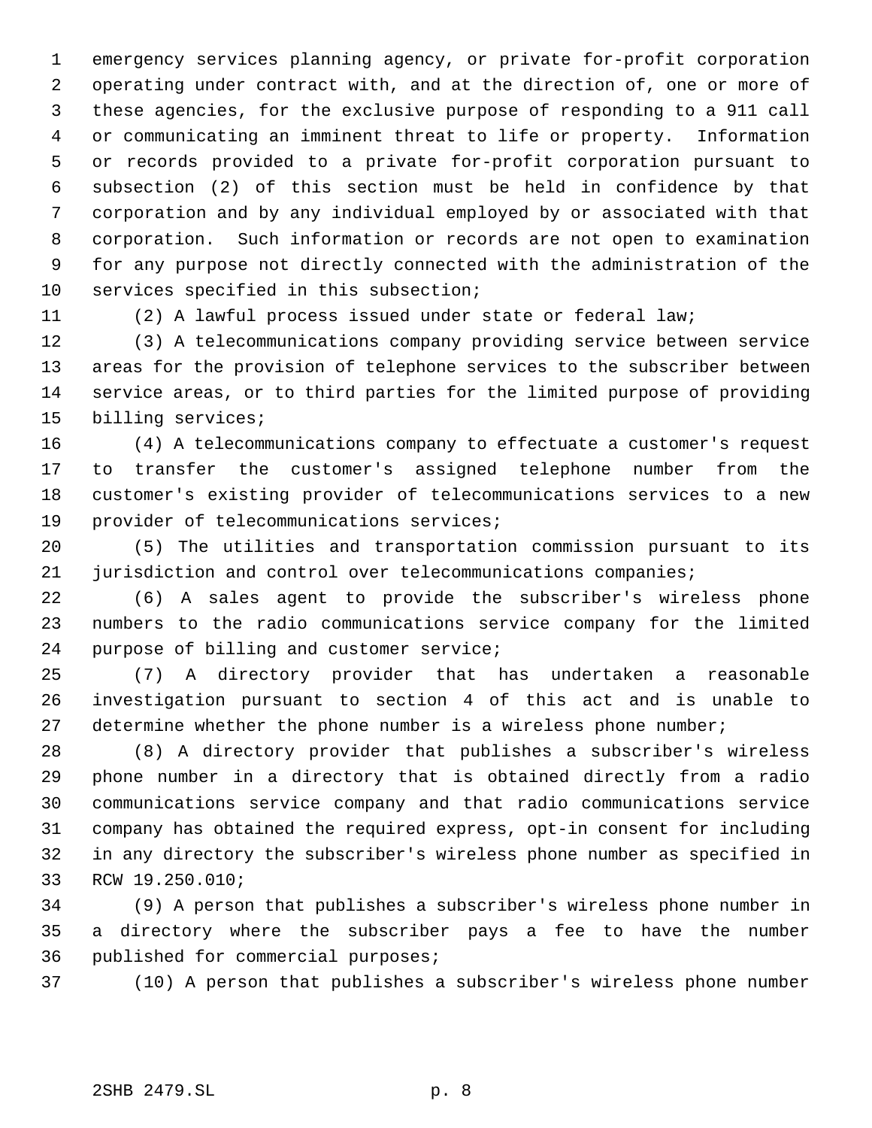emergency services planning agency, or private for-profit corporation operating under contract with, and at the direction of, one or more of these agencies, for the exclusive purpose of responding to a 911 call or communicating an imminent threat to life or property. Information or records provided to a private for-profit corporation pursuant to subsection (2) of this section must be held in confidence by that corporation and by any individual employed by or associated with that corporation. Such information or records are not open to examination for any purpose not directly connected with the administration of the services specified in this subsection;

(2) A lawful process issued under state or federal law;

 (3) A telecommunications company providing service between service areas for the provision of telephone services to the subscriber between service areas, or to third parties for the limited purpose of providing billing services;

 (4) A telecommunications company to effectuate a customer's request to transfer the customer's assigned telephone number from the customer's existing provider of telecommunications services to a new provider of telecommunications services;

 (5) The utilities and transportation commission pursuant to its jurisdiction and control over telecommunications companies;

 (6) A sales agent to provide the subscriber's wireless phone numbers to the radio communications service company for the limited purpose of billing and customer service;

 (7) A directory provider that has undertaken a reasonable investigation pursuant to section 4 of this act and is unable to determine whether the phone number is a wireless phone number;

 (8) A directory provider that publishes a subscriber's wireless phone number in a directory that is obtained directly from a radio communications service company and that radio communications service company has obtained the required express, opt-in consent for including in any directory the subscriber's wireless phone number as specified in RCW 19.250.010;

 (9) A person that publishes a subscriber's wireless phone number in a directory where the subscriber pays a fee to have the number published for commercial purposes;

(10) A person that publishes a subscriber's wireless phone number